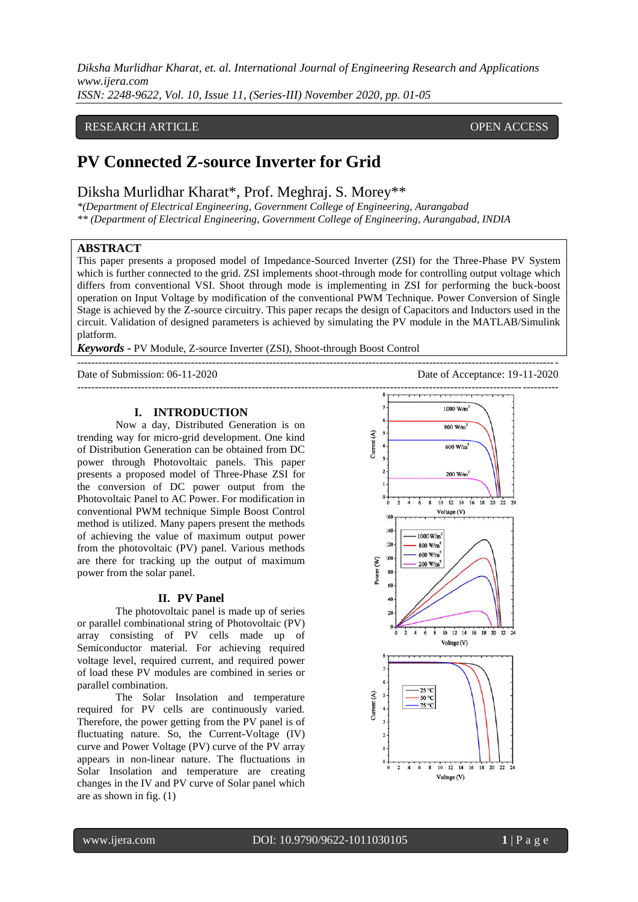*Diksha Murlidhar Kharat, et. al. International Journal of Engineering Research and Applications www.ijera.com*

*ISSN: 2248-9622, Vol. 10, Issue 11, (Series-III) November 2020, pp. 01-05*

# RESEARCH ARTICLE **CONSERVERS** OPEN ACCESS

# **PV Connected Z-source Inverter for Grid**

Diksha Murlidhar Kharat\*, Prof. Meghraj. S. Morey\*\*

*\*(Department of Electrical Engineering, Government College of Engineering, Aurangabad \*\* (Department of Electrical Engineering, Government College of Engineering, Aurangabad, INDIA*

# **ABSTRACT**

This paper presents a proposed model of Impedance-Sourced Inverter (ZSI) for the Three-Phase PV System which is further connected to the grid. ZSI implements shoot-through mode for controlling output voltage which differs from conventional VSI. Shoot through mode is implementing in ZSI for performing the buck-boost operation on Input Voltage by modification of the conventional PWM Technique. Power Conversion of Single Stage is achieved by the Z-source circuitry. This paper recaps the design of Capacitors and Inductors used in the circuit. Validation of designed parameters is achieved by simulating the PV module in the MATLAB/Simulink platform.

 $-1-\frac{1}{2}$ 

*Keywords* **-** PV Module, Z-source Inverter (ZSI), Shoot-through Boost Control

Date of Submission: 06-11-2020 Date of Acceptance: 19-11-2020

### **I. INTRODUCTION**

Now a day, Distributed Generation is on trending way for micro-grid development. One kind of Distribution Generation can be obtained from DC power through Photovoltaic panels. This paper presents a proposed model of Three-Phase ZSI for the conversion of DC power output from the Photovoltaic Panel to AC Power. For modification in conventional PWM technique Simple Boost Control method is utilized. Many papers present the methods of achieving the value of maximum output power from the photovoltaic (PV) panel. Various methods are there for tracking up the output of maximum power from the solar panel.

#### **II. PV Panel**

The photovoltaic panel is made up of series or parallel combinational string of Photovoltaic (PV) array consisting of PV cells made up of Semiconductor material. For achieving required voltage level, required current, and required power of load these PV modules are combined in series or parallel combination.

The Solar Insolation and temperature required for PV cells are continuously varied. Therefore, the power getting from the PV panel is of fluctuating nature. So, the Current-Voltage (IV) curve and Power Voltage (PV) curve of the PV array appears in non-linear nature. The fluctuations in Solar Insolation and temperature are creating changes in the IV and PV curve of Solar panel which are as shown in fig. (1)

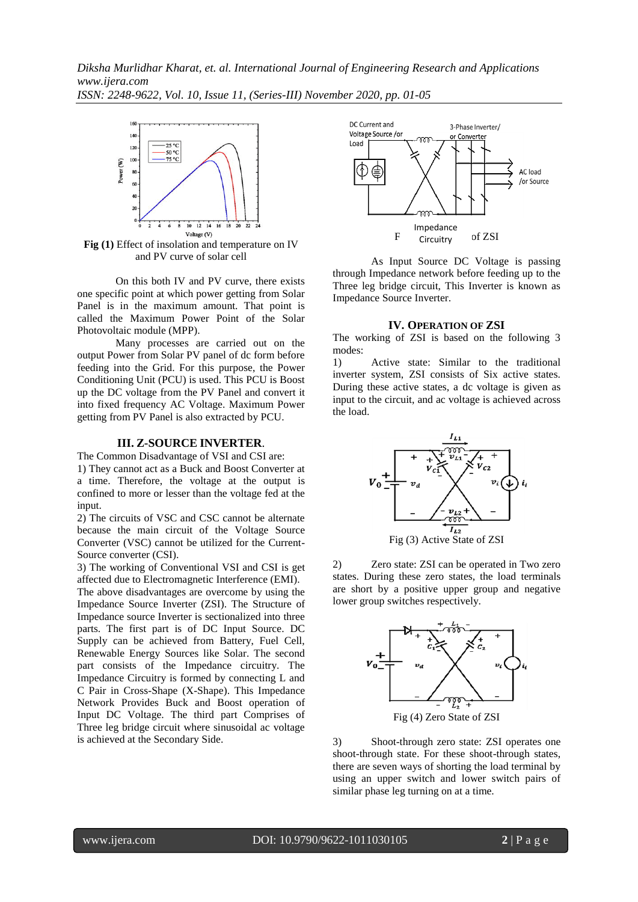*Diksha Murlidhar Kharat, et. al. International Journal of Engineering Research and Applications www.ijera.com ISSN: 2248-9622, Vol. 10, Issue 11, (Series-III) November 2020, pp. 01-05*



**Fig (1)** Effect of insolation and temperature on IV and PV curve of solar cell

On this both IV and PV curve, there exists one specific point at which power getting from Solar Panel is in the maximum amount. That point is called the Maximum Power Point of the Solar Photovoltaic module (MPP).

Many processes are carried out on the output Power from Solar PV panel of dc form before feeding into the Grid. For this purpose, the Power Conditioning Unit (PCU) is used. This PCU is Boost up the DC voltage from the PV Panel and convert it into fixed frequency AC Voltage. Maximum Power getting from PV Panel is also extracted by PCU.

## **III. Z-SOURCE INVERTER**.

The Common Disadvantage of VSI and CSI are: 1) They cannot act as a Buck and Boost Converter at a time. Therefore, the voltage at the output is confined to more or lesser than the voltage fed at the input.

2) The circuits of VSC and CSC cannot be alternate because the main circuit of the Voltage Source Converter (VSC) cannot be utilized for the Current-Source converter (CSI).

3) The working of Conventional VSI and CSI is get affected due to Electromagnetic Interference (EMI).

The above disadvantages are overcome by using the Impedance Source Inverter (ZSI). The Structure of Impedance source Inverter is sectionalized into three parts. The first part is of DC Input Source. DC Supply can be achieved from Battery, Fuel Cell, Renewable Energy Sources like Solar. The second part consists of the Impedance circuitry. The Impedance Circuitry is formed by connecting L and C Pair in Cross-Shape (X-Shape). This Impedance Network Provides Buck and Boost operation of Input DC Voltage. The third part Comprises of Three leg bridge circuit where sinusoidal ac voltage is achieved at the Secondary Side.



As Input Source DC Voltage is passing through Impedance network before feeding up to the Three leg bridge circuit, This Inverter is known as Impedance Source Inverter.

#### **IV. OPERATION OF ZSI**

The working of ZSI is based on the following 3 modes:

1) Active state: Similar to the traditional inverter system, ZSI consists of Six active states. During these active states, a dc voltage is given as input to the circuit, and ac voltage is achieved across the load.



2) Zero state: ZSI can be operated in Two zero states. During these zero states, the load terminals are short by a positive upper group and negative lower group switches respectively.



3) Shoot-through zero state: ZSI operates one

shoot-through state. For these shoot-through states, there are seven ways of shorting the load terminal by using an upper switch and lower switch pairs of similar phase leg turning on at a time.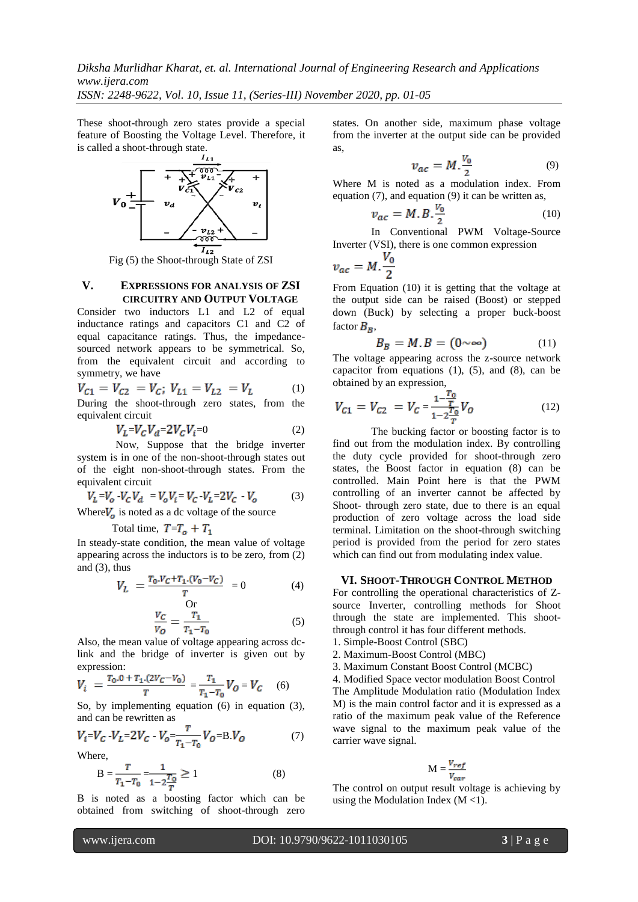*Diksha Murlidhar Kharat, et. al. International Journal of Engineering Research and Applications www.ijera.com*

*ISSN: 2248-9622, Vol. 10, Issue 11, (Series-III) November 2020, pp. 01-05*

These shoot-through zero states provide a special feature of Boosting the Voltage Level. Therefore, it is called a shoot-through state.



 $\overline{I_{L2}}$ <br>Fig (5) the Shoot-through State of ZSI

#### **V. EXPRESSIONS FOR ANALYSIS OF ZSI CIRCUITRY AND OUTPUT VOLTAGE**

Consider two inductors L1 and L2 of equal inductance ratings and capacitors C1 and C2 of equal capacitance ratings. Thus, the impedancesourced network appears to be symmetrical. So, from the equivalent circuit and according to symmetry, we have

$$
V_{C1} = V_{C2} = V_C; V_{L1} = V_{L2} = V_L
$$
 (1)  
During the shot through zero states from the

During the shoot-through zero states, from the equivalent circuit

$$
V_L = V_C V_d = 2V_C V_i = 0 \tag{2}
$$

Now, Suppose that the bridge inverter system is in one of the non-shoot-through states out of the eight non-shoot-through states. From the equivalent circuit

$$
V_L = V_C - V_C V_d = V_o V_i = V_C - V_L = 2V_C - V_o \tag{3}
$$

Where  $V_o$  is noted as a dc voltage of the source

Total time,  $T=T_o + T_1$ 

In steady-state condition, the mean value of voltage appearing across the inductors is to be zero, from (2) and  $(3)$ , thus

$$
V_L = \frac{T_0.V_C + T_1.(V_0 - V_C)}{T} = 0
$$
 (4)

$$
\frac{V_C}{V_O} = \frac{T_1}{T_1 - T_0} \tag{5}
$$

Also, the mean value of voltage appearing across dclink and the bridge of inverter is given out by expression:

$$
V_i = \frac{T_0 \cdot 0 + T_1 \cdot (2V_C - V_0)}{T} = \frac{T_1}{T_1 - T_0} V_O = V_C \quad (6)
$$

So, by implementing equation (6) in equation (3), and can be rewritten as

$$
V_i = V_C - V_L = 2V_C - V_o = \frac{r}{r_1 - r_0} V_o = B.V_o \tag{7}
$$

Where,

$$
B = \frac{T}{T_1 - T_0} = \frac{1}{1 - 2\frac{T_0}{T}} \ge 1
$$
\n(8)

B is noted as a boosting factor which can be obtained from switching of shoot-through zero states. On another side, maximum phase voltage from the inverter at the output side can be provided as,

$$
v_{ac} = M.\frac{v_0}{2} \tag{9}
$$

Where M is noted as a modulation index. From equation (7), and equation (9) it can be written as,

$$
v_{ac} = M.B.\frac{v_o}{2} \tag{10}
$$

In Conventional PWM Voltage-Source Inverter (VSI), there is one common expression

$$
v_{ac}=M.\frac{V_0}{2}
$$

From Equation (10) it is getting that the voltage at the output side can be raised (Boost) or stepped down (Buck) by selecting a proper buck-boost factor  $B_B$ ,

$$
B_B = M.B = (0 \sim \infty) \tag{11}
$$

The voltage appearing across the z-source network capacitor from equations  $(1)$ ,  $(5)$ , and  $(8)$ , can be obtained by an expression,

$$
V_{C1} = V_{C2} = V_C = \frac{1 - \frac{T_0}{T}}{1 - 2\frac{T_0}{T}} V_O
$$
 (12)

The bucking factor or boosting factor is to find out from the modulation index. By controlling the duty cycle provided for shoot-through zero states, the Boost factor in equation (8) can be controlled. Main Point here is that the PWM controlling of an inverter cannot be affected by Shoot- through zero state, due to there is an equal production of zero voltage across the load side terminal. Limitation on the shoot-through switching period is provided from the period for zero states which can find out from modulating index value.

#### **VI. SHOOT-THROUGH CONTROL METHOD**

For controlling the operational characteristics of Zsource Inverter, controlling methods for Shoot through the state are implemented. This shootthrough control it has four different methods.

- 1. Simple-Boost Control (SBC)
- 2. Maximum-Boost Control (MBC)
- 3. Maximum Constant Boost Control (MCBC)
- 4. Modified Space vector modulation Boost Control The Amplitude Modulation ratio (Modulation Index M) is the main control factor and it is expressed as a ratio of the maximum peak value of the Reference wave signal to the maximum peak value of the carrier wave signal.

$$
M = \frac{V_{ref}}{V_{car}}
$$

The control on output result voltage is achieving by using the Modulation Index  $(M < 1)$ .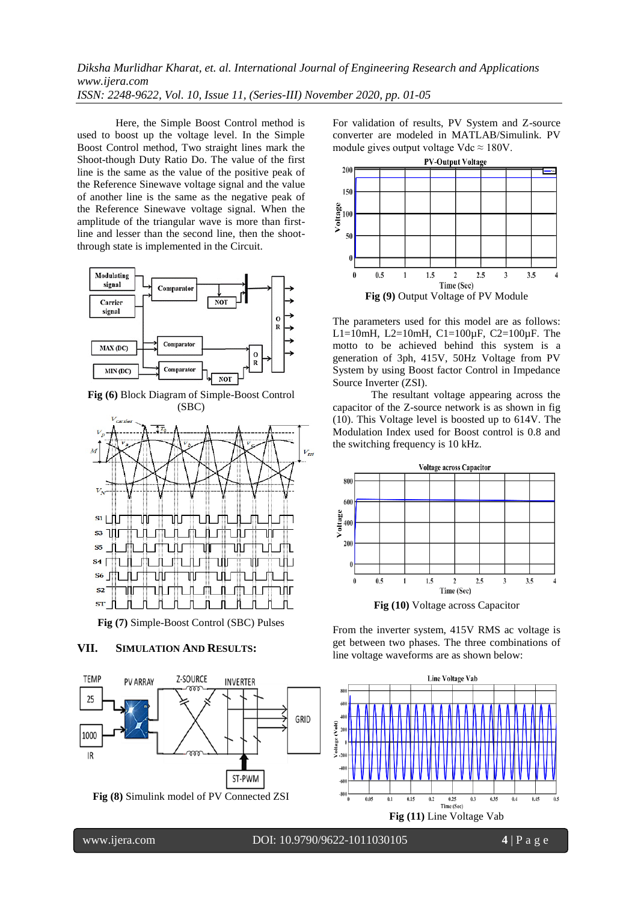# *Diksha Murlidhar Kharat, et. al. International Journal of Engineering Research and Applications www.ijera.com ISSN: 2248-9622, Vol. 10, Issue 11, (Series-III) November 2020, pp. 01-05*

Here, the Simple Boost Control method is used to boost up the voltage level. In the Simple Boost Control method, Two straight lines mark the Shoot-though Duty Ratio Do. The value of the first line is the same as the value of the positive peak of the Reference Sinewave voltage signal and the value of another line is the same as the negative peak of the Reference Sinewave voltage signal. When the amplitude of the triangular wave is more than firstline and lesser than the second line, then the shootthrough state is implemented in the Circuit.



**Fig (6)** Block Diagram of Simple-Boost Control (SBC)



**Fig (7)** Simple-Boost Control (SBC) Pulses

# **VII. SIMULATION AND RESULTS:**



For validation of results, PV System and Z-source converter are modeled in MATLAB/Simulink. PV module gives output voltage Vdc  $\approx 180V$ .



The parameters used for this model are as follows: L1=10mH, L2=10mH, C1=100µF, C2=100µF. The motto to be achieved behind this system is a generation of 3ph, 415V, 50Hz Voltage from PV System by using Boost factor Control in Impedance Source Inverter (ZSI).

The resultant voltage appearing across the capacitor of the Z-source network is as shown in fig (10). This Voltage level is boosted up to 614V. The Modulation Index used for Boost control is 0.8 and the switching frequency is 10 kHz.



From the inverter system, 415V RMS ac voltage is get between two phases. The three combinations of line voltage waveforms are as shown below:



www.ijera.com DOI: 10.9790/9622-1011030105 **4** | P a g e